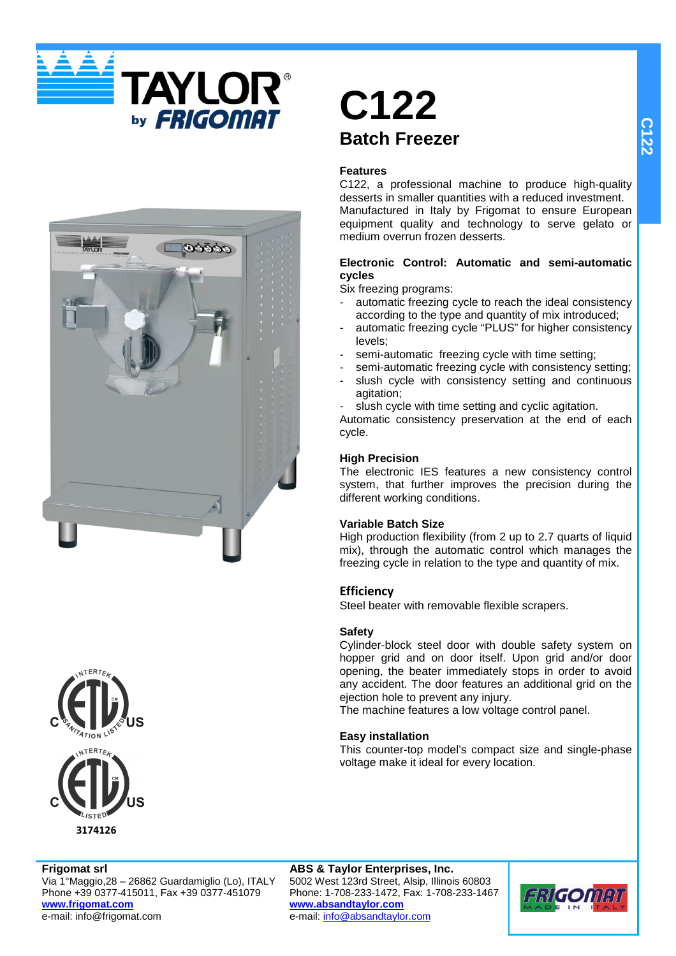





## **C122 Batch Freezer**

#### **Features**

C122, a professional machine to produce high-quality desserts in smaller quantities with a reduced investment. Manufactured in Italy by Frigomat to ensure European equipment quality and technology to serve gelato or medium overrun frozen desserts.

## **Electronic Control: Automatic and semi-automatic cycles**

Six freezing programs:

- automatic freezing cycle to reach the ideal consistency according to the type and quantity of mix introduced;
- automatic freezing cycle "PLUS" for higher consistency levels;
- semi-automatic freezing cycle with time setting;
- semi-automatic freezing cycle with consistency setting; slush cycle with consistency setting and continuous agitation;
- slush cycle with time setting and cyclic agitation.

Automatic consistency preservation at the end of each cycle.

## **High Precision**

The electronic IES features a new consistency control system, that further improves the precision during the different working conditions.

## **Variable Batch Size**

High production flexibility (from 2 up to 2.7 quarts of liquid mix), through the automatic control which manages the freezing cycle in relation to the type and quantity of mix.

## **Efficiency**

Steel beater with removable flexible scrapers.

## **Safety**

Cylinder-block steel door with double safety system on hopper grid and on door itself. Upon grid and/or door opening, the beater immediately stops in order to avoid any accident. The door features an additional grid on the ejection hole to prevent any injury.

The machine features a low voltage control panel.

## **Easy installation**

This counter-top model's compact size and single-phase voltage make it ideal for every location.

## **Frigomat srl**

Via 1°Maggio,28 – 26862 Guardamiglio (Lo), ITALY Phone +39 0377-415011, Fax +39 0377-451079 **www.frigomat.com** e-mail: info@frigomat.com

## **ABS & Taylor Enterprises, Inc.**

5002 West 123rd Street, Alsip, Illinois 60803 Phone: 1-708-233-1472, Fax: 1-708-233-1467 **www.absandtaylor.com** e-mail: info@absandtaylor.com